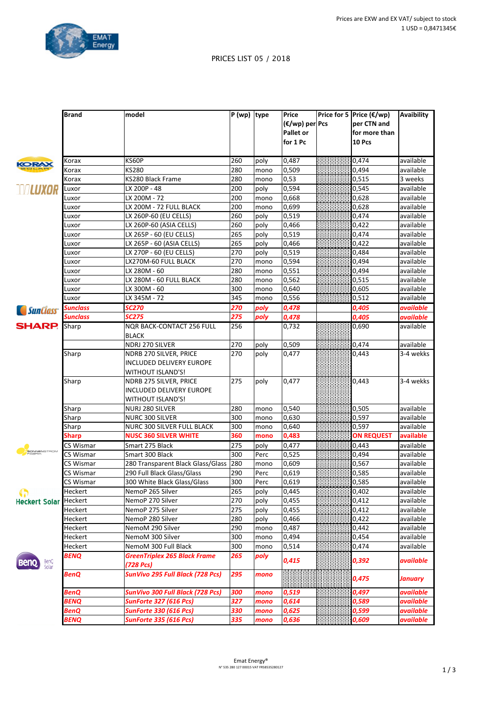

**Avaibility**

## PRICES LIST 05 / 2018

**(€/wp) per Pcs Pallet** or

**Price for 5 Price (€/wp)** 

**per CTN** and for more than

**Brand model P** (wp) **type Price** 

| ÷ |
|---|
|   |
|   |

|                             |                |                                                  |     |      | for 1 Pc           | 10 Pcs            |                |
|-----------------------------|----------------|--------------------------------------------------|-----|------|--------------------|-------------------|----------------|
|                             | Korax          | KS60P                                            | 260 | poly | 0,487              | 0,474             | available      |
| <b>KORA</b>                 | Korax          | KS280                                            | 280 | mono | 0,509              | 0,494             | available      |
|                             | Korax          | KS280 Black Frame                                | 280 | mono | 0,53               | 0,515             | 3 weeks        |
| <b>WILUXOR</b>              | Luxor          | LX 200P - 48                                     | 200 | poly | 0,594              | 0.545             | available      |
|                             | Luxor          | LX 200M - 72                                     | 200 | mono | 0,668              | 0,628             | available      |
|                             | Luxor          | LX 200M - 72 FULL BLACK                          | 200 | mono | 0,699              | 0,628             | available      |
|                             | Luxor          | LX 260P-60 (EU CELLS)                            | 260 | poly | 0,519              | 0,474             | available      |
|                             | Luxor          | LX 260P-60 (ASIA CELLS)                          | 260 | poly | 0,466              | 0,422             | available      |
|                             | Luxor          | LX 265P - 60 (EU CELLS)                          | 265 | poly | 0,519              | 0,474             | available      |
|                             | Luxor          | LX 265P - 60 (ASIA CELLS)                        | 265 | poly | 0,466              | 0,422             | available      |
|                             | Luxor          | LX 270P - 60 (EU CELLS)                          | 270 | poly | 0,519              | 0,484             | available      |
|                             | Luxor          | LX270M-60 FULL BLACK                             | 270 | mono | 0,594              | 0,494             | available      |
|                             | Luxor          | LX 280M - 60                                     | 280 | mono | 0,551              | 0,494             | available      |
|                             | Luxor          | LX 280M - 60 FULL BLACK                          | 280 | mono | 0,562              | 0,515             | available      |
|                             | Luxor          | LX 300M - 60                                     | 300 | mono | 0,640              | 0,605             | available      |
|                             | Luxor          | LX 345M - 72                                     | 345 | mono | 0,556              | 0,512             | available      |
|                             | Sunclass       | <b>SC270</b>                                     | 270 | poly | 0,478              | 0,405             | available      |
| <i>SunClass</i>             | Sunclass       | <b>SC275</b>                                     | 275 |      |                    |                   |                |
| <b>SHARP.</b>               |                |                                                  |     | poly | 0,478              | 0,405             | available      |
|                             | Sharp          | <b>NOR BACK-CONTACT 256 FULL</b><br><b>BLACK</b> | 256 |      | 0,732              | 0,690             | available      |
|                             |                | NDRJ 270 SILVER                                  | 270 | poly | 0,509              | 0,474             | available      |
|                             | Sharp          | NDRB 270 SILVER, PRICE                           | 270 | poly | $\overline{0,}477$ | 0,443             | 3-4 wekks      |
|                             |                | INCLUDED DELIVERY EUROPE                         |     |      |                    |                   |                |
|                             |                | WITHOUT ISLAND'S!                                |     |      |                    |                   |                |
|                             | Sharp          | NDRB 275 SILVER, PRICE                           | 275 | poly | 0,477              | 0,443             | 3-4 wekks      |
|                             |                | INCLUDED DELIVERY EUROPE                         |     |      |                    |                   |                |
|                             |                | WITHOUT ISLAND'S!                                |     |      |                    |                   |                |
|                             | Sharp          | NURJ 280 SILVER                                  | 280 | mono | 0,540              | 0,505             | available      |
|                             | Sharp          | NURC 300 SILVER                                  | 300 | mono | 0,630              | 0,597             | available      |
|                             | Sharp          | <b>NURC 300 SILVER FULL BLACK</b>                | 300 | mono | 0,640              | 0,597             | available      |
|                             | Sharp          | <b>NUSC 360 SILVER WHITE</b>                     | 360 | mono | 0,483              | <b>ON REQUEST</b> | available      |
|                             | CS Wismar      | Smart 275 Black                                  | 275 | poly | 0,477              | 0,443             | available      |
| SONNENSTROM<br>FABRIK       | CS Wismar      | Smart 300 Black                                  | 300 | Perc | 0,525              | 0,494             | available      |
|                             | CS Wismar      | 280 Transparent Black Glass/Glass                | 280 | mono | 0,609              | 0,567             | available      |
|                             | CS Wismar      | 290 Full Black Glass/Glass                       | 290 | Perc | 0,619              | 0,585             | available      |
|                             | CS Wismar      | 300 White Black Glass/Glass                      | 300 | Perc | 0,619              | 0,585             | available      |
| 4a                          | Heckert        | NemoP 265 Silver                                 | 265 | poly | 0,445              | 0,402             | available      |
| <b>Heckert Solar</b>        | <b>Heckert</b> | NemoP 270 Silver                                 | 270 | poly | 0,455              | 0,412             | available      |
|                             | Heckert        | NemoP 275 Silver                                 | 275 | poly | 0,455              | 0,412             | available      |
|                             | Heckert        | NemoP 280 Silver                                 | 280 | poly | 0,466              | 0,422             | available      |
|                             | Heckert        | NemoM 290 Silver                                 | 290 | mono | 0,487              | 0,442             | available      |
|                             | Heckert        | NemoM 300 Silver                                 | 300 | mono | 0,494              | 0,454             | available      |
|                             | Heckert        | NemoM 300 Full Black                             | 300 | mono | 0,514              | 0,474             | available      |
| BenQ<br>Solar<br><b>Ben</b> | <b>BENQ</b>    | <b>GreenTriplex 265 Black Frame</b>              | 265 | poly | 0,415              | 0,392             | available      |
|                             | BenQ           | (728 Pcs)<br>SunVivo 295 Full Black (728 Pcs)    | 295 | mono |                    | 0,475             | <b>January</b> |
|                             | BenQ           | SunVivo 300 Full Black (728 Pcs)                 | 300 | mono | 0,519              | 0,497             | available      |
|                             | BENQ           | <b>SunForte 327 (616 Pcs)</b>                    | 327 | mono | 0,614              | 0,589             | available      |
|                             | <b>BenQ</b>    | <b>SunForte 330 (616 Pcs)</b>                    | 330 | mono | 0,625              | 0,599             | available      |
|                             | BENQ           | <b>SunForte 335 (616 Pcs)</b>                    | 335 | mono | 0,636              | 0,609             | available      |
|                             |                |                                                  |     |      |                    |                   |                |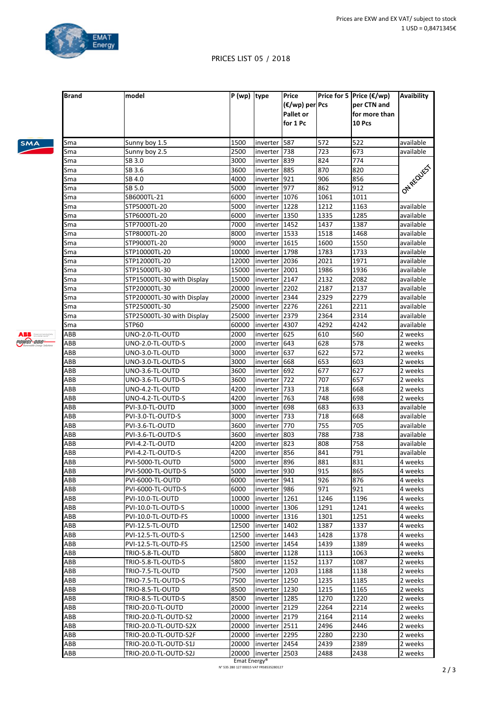

**Avaibility**

**Price for 5 Price (€/wp)** 

**per CTN and** 

## PRICES LIST 05 / 2018

**(€/wp) per** 

**Pcs**

**Brand model P** (wp) **type Price** 

| <b>SMA</b> |  |  |
|------------|--|--|
|            |  |  |

|     |                            |       |                 | <b>Pallet or</b><br>for 1 Pc |      | for more than<br>10 Pcs |            |
|-----|----------------------------|-------|-----------------|------------------------------|------|-------------------------|------------|
| Sma | Sunny boy 1.5              | 1500  | inverter 587    |                              | 572  | 522                     | available  |
| Sma | Sunny boy 2.5              | 2500  | inverter        | 738                          | 723  | 673                     | available  |
| Sma | SB 3.0                     | 3000  | inverter 1839   |                              | 824  | 774                     |            |
| Sma | SB 3.6                     | 3600  | inverter 885    |                              | 870  | 820                     | ONAREQUEST |
| Sma | SB 4.0                     | 4000  | inverter 921    |                              | 906  | 856                     |            |
| Sma | SB 5.0                     | 5000  | inverter   977  |                              | 862  | 912                     |            |
| Sma | SB6000TL-21                | 6000  | inverter 1076   |                              | 1061 | 1011                    |            |
| Sma | STP5000TL-20               | 5000  | inverter 1228   |                              | 1212 | 1163                    | available  |
| Sma | STP6000TL-20               | 6000  | inverter 1350   |                              | 1335 | 1285                    | available  |
| Sma | STP7000TL-20               | 7000  | inverter   1452 |                              | 1437 | 1387                    | available  |
| Sma | STP8000TL-20               | 8000  | inverter   1533 |                              | 1518 | 1468                    | available  |
| Sma | STP9000TL-20               | 9000  | inverter 1615   |                              | 1600 | 1550                    | available  |
| Sma | STP10000TL-20              | 10000 | inverter 1798   |                              | 1783 | 1733                    | available  |
| Sma | STP12000TL-20              | 12000 | inverter   2036 |                              | 2021 | 1971                    | available  |
| Sma | STP15000TL-30              | 15000 | inverter   2001 |                              | 1986 | 1936                    | available  |
| Sma | STP15000TL-30 with Display | 15000 | inverter  2147  |                              | 2132 | 2082                    | available  |
| Sma | STP20000TL-30              | 20000 | inverter 2202   |                              | 2187 | 2137                    | available  |
| Sma | STP20000TL-30 with Display | 20000 | inverter  2344  |                              | 2329 | 2279                    | available  |
| Sma | STP25000TL-30              | 25000 | inverter 2276   |                              | 2261 | 2211                    | available  |
| Sma | STP25000TL-30 with Display | 25000 | inverter 2379   |                              | 2364 | 2314                    | available  |
| Sma | STP60                      | 60000 | inverter 4307   |                              | 4292 | 4242                    | available  |
| ABB | UNO-2.0-TL-OUTD            | 2000  | inverter 625    |                              | 610  | 560                     | 2 weeks    |
| ABB | UNO-2.0-TL-OUTD-S          | 2000  | inverter 643    |                              | 628  | 578                     | 2 weeks    |
| ABB | UNO-3.0-TL-OUTD            | 3000  | inverter 637    |                              | 622  | 572                     | 2 weeks    |
| ABB | UNO-3.0-TL-OUTD-S          | 3000  | inverter 668    |                              | 653  | 603                     | 2 weeks    |
| ABB | UNO-3.6-TL-OUTD            | 3600  | inverter 692    |                              | 677  | 627                     | 2 weeks    |
| ABB | UNO-3.6-TL-OUTD-S          | 3600  | inverter 722    |                              | 707  | 657                     | 2 weeks    |
| ABB | UNO-4.2-TL-OUTD            | 4200  | inverter 733    |                              | 718  | 668                     | 2 weeks    |
| ABB | UNO-4.2-TL-OUTD-S          | 4200  | inverter   763  |                              | 748  | 698                     | 2 weeks    |
| ABB | PVI-3.0-TL-OUTD            | 3000  | inverter 698    |                              | 683  | 633                     | available  |
| ABB | PVI-3.0-TL-OUTD-S          | 3000  | inverter   733  |                              | 718  | 668                     | available  |
| ABB | PVI-3.6-TL-OUTD            | 3600  | inverter 770    |                              | 755  | 705                     | available  |
| ABB | PVI-3.6-TL-OUTD-S          | 3600  | inverter 803    |                              | 788  | 738                     | available  |
| ABB | PVI-4.2-TL-OUTD            | 4200  | inverter 823    |                              | 808  | 758                     | available  |
| ABB | PVI-4.2-TL-OUTD-S          | 4200  | inverter 856    |                              | 841  | 791                     | available  |
| ABB | PVI-5000-TL-OUTD           | 5000  | inverter 896    |                              | 881  | 831                     | 4 weeks    |
| ABB | PVI-5000-TL-OUTD-S         | 5000  | inverter 930    |                              | 915  | 865                     | 4 weeks    |
| ABB | PVI-6000-TL-OUTD           | 6000  | inverter 941    |                              | 926  | 876                     | 4 weeks    |
| ABB | PVI-6000-TL-OUTD-S         | 6000  | inverter 986    |                              | 971  | 921                     | 4 weeks    |
| ABB | PVI-10.0-TL-OUTD           | 10000 | inverter 1261   |                              | 1246 | 1196                    | 4 weeks    |
| ABB | PVI-10.0-TL-OUTD-S         | 10000 | inverter   1306 |                              | 1291 | 1241                    | 4 weeks    |
| ABB | PVI-10.0-TL-OUTD-FS        | 10000 | Inverter 1316   |                              | 1301 | 1251                    | 4 weeks    |
| ABB | PVI-12.5-TL-OUTD           | 12500 | inverter 1402   |                              | 1387 | 1337                    | 4 weeks    |
| ABB | PVI-12.5-TL-OUTD-S         | 12500 | inverter 1443   |                              | 1428 | 1378                    | 4 weeks    |
| ABB | PVI-12.5-TL-OUTD-FS        | 12500 | inverter 1454   |                              | 1439 | 1389                    | 4 weeks    |
| ABB | TRIO-5.8-TL-OUTD           | 5800  | inverter 1128   |                              | 1113 | 1063                    | 2 weeks    |
| ABB | TRIO-5.8-TL-OUTD-S         | 5800  | inverter 1152   |                              | 1137 | 1087                    | 2 weeks    |
| ABB | TRIO-7.5-TL-OUTD           | 7500  | inverter 1203   |                              | 1188 | 1138                    | 2 weeks    |
| ABB | TRIO-7.5-TL-OUTD-S         | 7500  | inverter 1250   |                              | 1235 | 1185                    | 2 weeks    |
| ABB | TRIO-8.5-TL-OUTD           | 8500  | inverter 1230   |                              | 1215 | 1165                    | 2 weeks    |
| ABB | TRIO-8.5-TL-OUTD-S         | 8500  | inverter   1285 |                              | 1270 | 1220                    | 2 weeks    |
| ABB | TRIO-20.0-TL-OUTD          | 20000 | inverter 2129   |                              | 2264 | 2214                    | 2 weeks    |
| ABB | TRIO-20.0-TL-OUTD-S2       | 20000 | inverter 2179   |                              | 2164 | 2114                    | 2 weeks    |
| ABB | TRIO-20.0-TL-OUTD-S2X      | 20000 | inverter 2511   |                              | 2496 | 2446                    | 2 weeks    |
| ABB | TRIO-20.0-TL-OUTD-S2F      | 20000 | inverter 2295   |                              | 2280 | 2230                    | 2 weeks    |
| ABB | TRIO-20.0-TL-OUTD-S1J      | 20000 | inverter  2454  |                              | 2439 | 2389                    | 2 weeks    |
| ABB | TRIO-20.0-TL-OUTD-S2J      | 20000 | inverter 2503   |                              | 2488 | 2438                    | 2 weeks    |
|     |                            |       |                 |                              |      |                         |            |

ABB Common power-one-

> Emat Energy® N° 535 280 127 00015 VAT FR58535280127 **2** / 3